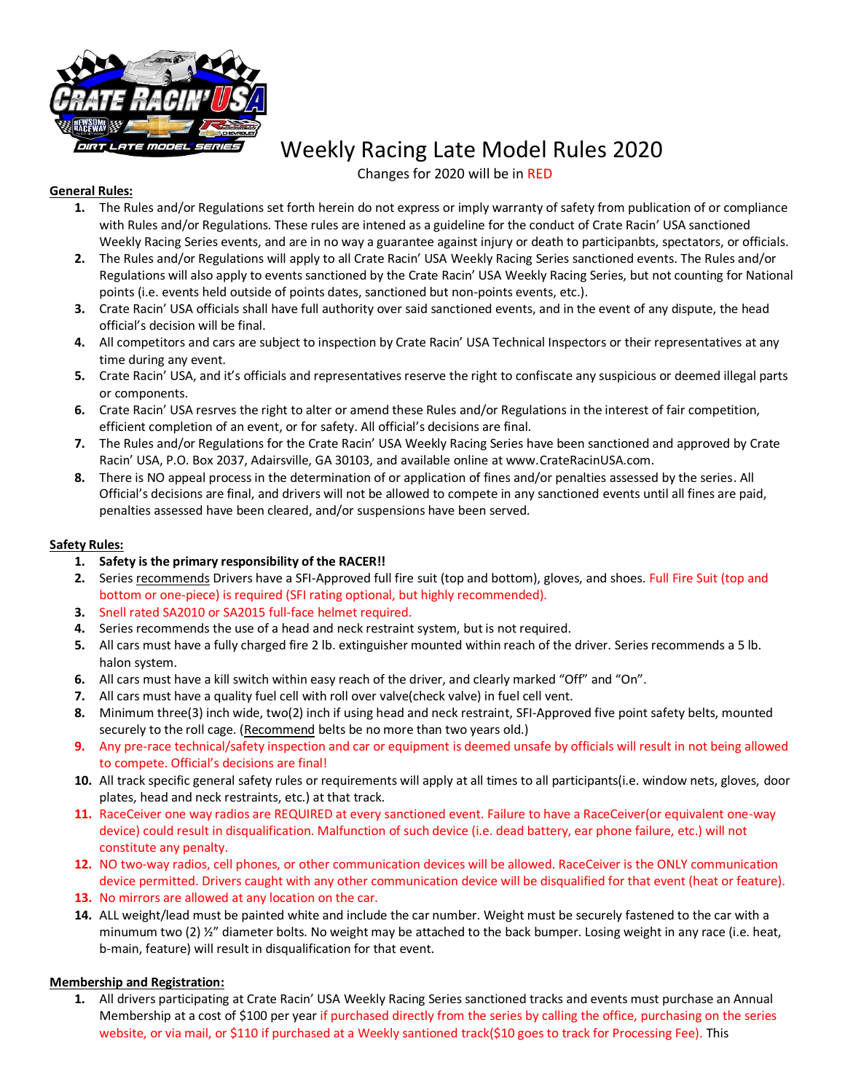

# Weekly Racing Late Model Rules 2020

Changes for 2020 will be in RED

## **General Rules:**

- **1.** The Rules and/or Regulations set forth herein do not express or imply warranty of safety from publication of or compliance with Rules and/or Regulations. These rules are intened as a guideline for the conduct of Crate Racin' USA sanctioned Weekly Racing Series events, and are in no way a guarantee against injury or death to participanbts, spectators, or officials.
- **2.** The Rules and/or Regulations will apply to all Crate Racin' USA Weekly Racing Series sanctioned events. The Rules and/or Regulations will also apply to events sanctioned by the Crate Racin' USA Weekly Racing Series, but not counting for National points (i.e. events held outside of points dates, sanctioned but non-points events, etc.).
- **3.** Crate Racin' USA officials shall have full authority over said sanctioned events, and in the event of any dispute, the head official's decision will be final.
- **4.** All competitors and cars are subject to inspection by Crate Racin' USA Technical Inspectors or their representatives at any time during any event.
- **5.** Crate Racin' USA, and it's officials and representatives reserve the right to confiscate any suspicious or deemed illegal parts or components.
- **6.** Crate Racin' USA resrves the right to alter or amend these Rules and/or Regulations in the interest of fair competition, efficient completion of an event, or for safety. All official's decisions are final.
- **7.** The Rules and/or Regulations for the Crate Racin' USA Weekly Racing Series have been sanctioned and approved by Crate Racin' USA, P.O. Box 2037, Adairsville, GA 30103, and available online at www.CrateRacinUSA.com.
- **8.** There is NO appeal process in the determination of or application of fines and/or penalties assessed by the series. All Official's decisions are final, and drivers will not be allowed to compete in any sanctioned events until all fines are paid, penalties assessed have been cleared, and/or suspensions have been served.

#### **Safety Rules:**

- **1. Safety is the primary responsibility of the RACER!!**
- **2.** Series recommends Drivers have a SFI-Approved full fire suit (top and bottom), gloves, and shoes. Full Fire Suit (top and bottom or one-piece) is required (SFI rating optional, but highly recommended).
- **3.** Snell rated SA2010 or SA2015 full-face helmet required.
- **4.** Series recommends the use of a head and neck restraint system, but is not required.
- **5.** All cars must have a fully charged fire 2 lb. extinguisher mounted within reach of the driver. Series recommends a 5 lb. halon system.
- **6.** All cars must have a kill switch within easy reach of the driver, and clearly marked "Off" and "On".
- **7.** All cars must have a quality fuel cell with roll over valve(check valve) in fuel cell vent.
- **8.** Minimum three(3) inch wide, two(2) inch if using head and neck restraint, SFI-Approved five point safety belts, mounted securely to the roll cage. (Recommend belts be no more than two years old.)
- **9.** Any pre-race technical/safety inspection and car or equipment is deemed unsafe by officials will result in not being allowed to compete. Official's decisions are final!
- **10.** All track specific general safety rules or requirements will apply at all times to all participants(i.e. window nets, gloves, door plates, head and neck restraints, etc.) at that track.
- **11.** RaceCeiver one way radios are REQUIRED at every sanctioned event. Failure to have a RaceCeiver(or equivalent one-way device) could result in disqualification. Malfunction of such device (i.e. dead battery, ear phone failure, etc.) will not constitute any penalty.
- **12.** NO two-way radios, cell phones, or other communication devices will be allowed. RaceCeiver is the ONLY communication device permitted. Drivers caught with any other communication device will be disqualified for that event (heat or feature).
- **13.** No mirrors are allowed at any location on the car.
- **14.** ALL weight/lead must be painted white and include the car number. Weight must be securely fastened to the car with a minumum two (2)  $\frac{y}{z}$  diameter bolts. No weight may be attached to the back bumper. Losing weight in any race (i.e. heat, b-main, feature) will result in disqualification for that event.

## **Membership and Registration:**

**1.** All drivers participating at Crate Racin' USA Weekly Racing Series sanctioned tracks and events must purchase an Annual Membership at a cost of \$100 per year if purchased directly from the series by calling the office, purchasing on the series website, or via mail, or \$110 if purchased at a Weekly santioned track(\$10 goes to track for Processing Fee). This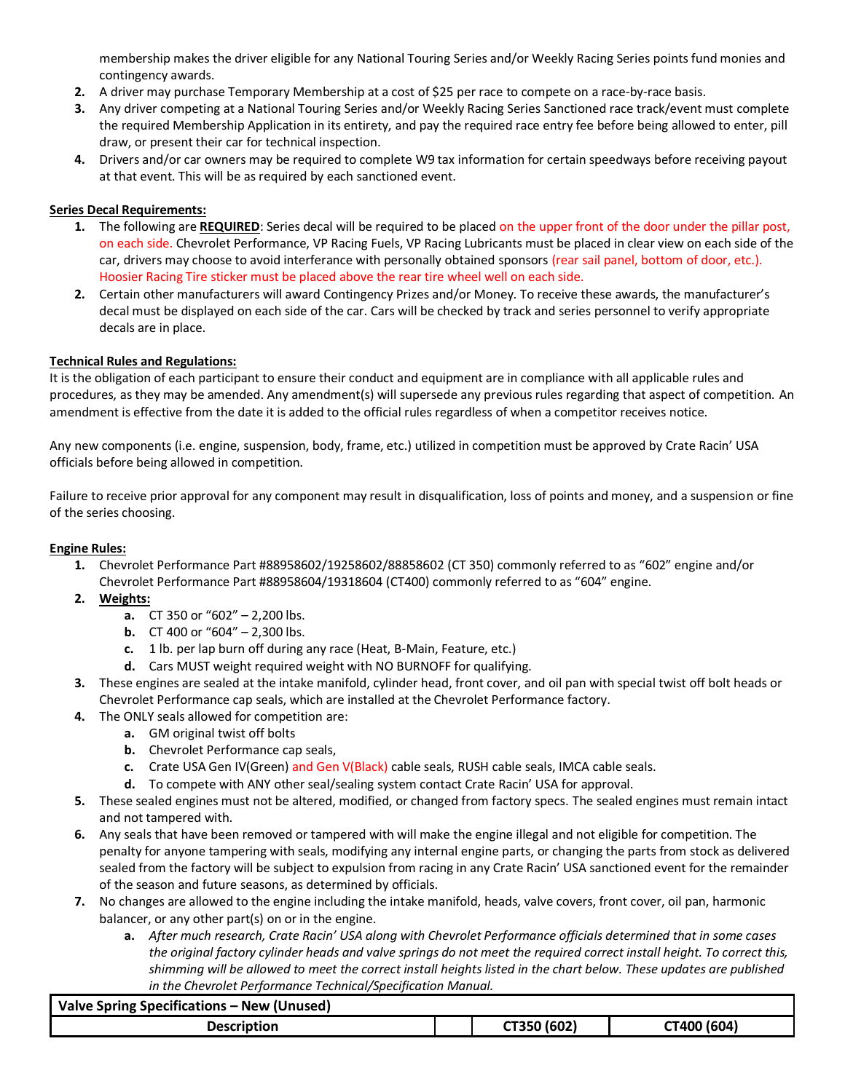membership makes the driver eligible for any National Touring Series and/or Weekly Racing Series points fund monies and contingency awards.

- **2.** A driver may purchase Temporary Membership at a cost of \$25 per race to compete on a race-by-race basis.
- **3.** Any driver competing at a National Touring Series and/or Weekly Racing Series Sanctioned race track/event must complete the required Membership Application in its entirety, and pay the required race entry fee before being allowed to enter, pill draw, or present their car for technical inspection.
- **4.** Drivers and/or car owners may be required to complete W9 tax information for certain speedways before receiving payout at that event. This will be as required by each sanctioned event.

#### **Series Decal Requirements:**

- **1.** The following are **REQUIRED**: Series decal will be required to be placed on the upper front of the door under the pillar post, on each side. Chevrolet Performance, VP Racing Fuels, VP Racing Lubricants must be placed in clear view on each side of the car, drivers may choose to avoid interferance with personally obtained sponsors (rear sail panel, bottom of door, etc.). Hoosier Racing Tire sticker must be placed above the rear tire wheel well on each side.
- **2.** Certain other manufacturers will award Contingency Prizes and/or Money. To receive these awards, the manufacturer's decal must be displayed on each side of the car. Cars will be checked by track and series personnel to verify appropriate decals are in place.

#### **Technical Rules and Regulations:**

It is the obligation of each participant to ensure their conduct and equipment are in compliance with all applicable rules and procedures, as they may be amended. Any amendment(s) will supersede any previous rules regarding that aspect of competition. An amendment is effective from the date it is added to the official rules regardless of when a competitor receives notice.

Any new components (i.e. engine, suspension, body, frame, etc.) utilized in competition must be approved by Crate Racin' USA officials before being allowed in competition.

Failure to receive prior approval for any component may result in disqualification, loss of points and money, and a suspension or fine of the series choosing.

#### **Engine Rules:**

- **1.** Chevrolet Performance Part #88958602/19258602/88858602 (CT 350) commonly referred to as "602" engine and/or Chevrolet Performance Part #88958604/19318604 (CT400) commonly referred to as "604" engine.
- **2. Weights:**
	- **a.** CT 350 or "602" 2,200 lbs.
	- **b.** CT 400 or "604"  $2,300$  lbs.
	- **c.** 1 lb. per lap burn off during any race (Heat, B-Main, Feature, etc.)
	- **d.** Cars MUST weight required weight with NO BURNOFF for qualifying.
- **3.** These engines are sealed at the intake manifold, cylinder head, front cover, and oil pan with special twist off bolt heads or Chevrolet Performance cap seals, which are installed at the Chevrolet Performance factory.
- **4.** The ONLY seals allowed for competition are:
	- **a.** GM original twist off bolts
	- **b.** Chevrolet Performance cap seals,
	- **c.** Crate USA Gen IV(Green) and Gen V(Black) cable seals, RUSH cable seals, IMCA cable seals.
	- **d.** To compete with ANY other seal/sealing system contact Crate Racin' USA for approval.
- **5.** These sealed engines must not be altered, modified, or changed from factory specs. The sealed engines must remain intact and not tampered with.
- **6.** Any seals that have been removed or tampered with will make the engine illegal and not eligible for competition. The penalty for anyone tampering with seals, modifying any internal engine parts, or changing the parts from stock as delivered sealed from the factory will be subject to expulsion from racing in any Crate Racin' USA sanctioned event for the remainder of the season and future seasons, as determined by officials.
- **7.** No changes are allowed to the engine including the intake manifold, heads, valve covers, front cover, oil pan, harmonic balancer, or any other part(s) on or in the engine.
	- **a.** *After much research, Crate Racin' USA along with Chevrolet Performance officials determined that in some cases the original factory cylinder heads and valve springs do not meet the required correct install height. To correct this, shimming will be allowed to meet the correct install heights listed in the chart below. These updates are published in the Chevrolet Performance Technical/Specification Manual.*

| Valve Spring Specifications – New (Unused) |             |             |
|--------------------------------------------|-------------|-------------|
| <b>Description</b>                         | CT350 (602) | CT400 (604) |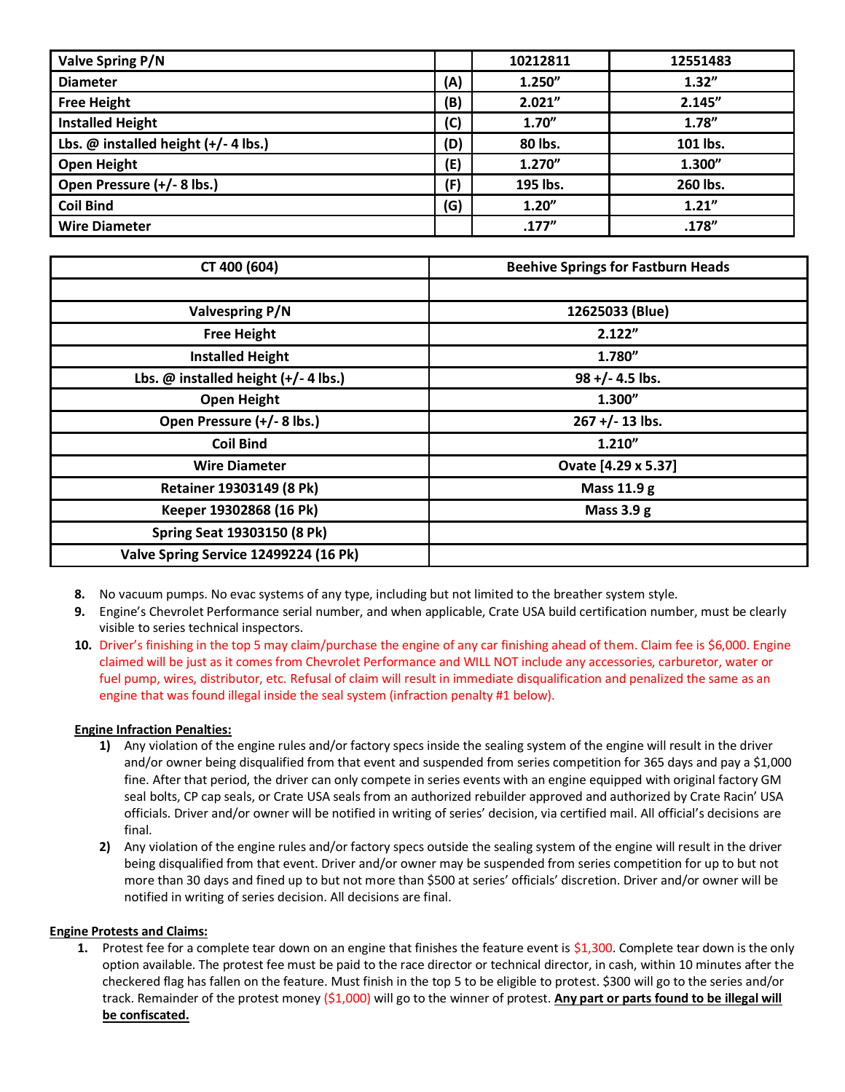| Valve Spring P/N                         |     | 10212811 | 12551483 |
|------------------------------------------|-----|----------|----------|
| <b>Diameter</b>                          | (A) | 1.250"   | 1.32''   |
| <b>Free Height</b>                       | (B) | 2.021"   | 2.145"   |
| <b>Installed Height</b>                  | (C) | 1.70''   | 1.78''   |
| Lbs. $@$ installed height $(+/- 4$ lbs.) | (D) | 80 lbs.  | 101 lbs. |
| <b>Open Height</b>                       | (E) | 1.270"   | 1.300"   |
| Open Pressure (+/- 8 lbs.)               | (F) | 195 lbs. | 260 lbs. |
| <b>Coil Bind</b>                         | (G) | 1.20''   | 1.21''   |
| <b>Wire Diameter</b>                     |     | .177''   | .178''   |

| CT 400 (604)                             | <b>Beehive Springs for Fastburn Heads</b> |  |  |
|------------------------------------------|-------------------------------------------|--|--|
|                                          |                                           |  |  |
| <b>Valvespring P/N</b>                   | 12625033 (Blue)                           |  |  |
| <b>Free Height</b>                       | 2.122"                                    |  |  |
| <b>Installed Height</b>                  | 1.780"                                    |  |  |
| Lbs. $@$ installed height $(+/- 4$ lbs.) | $98 + (-4.5)$ lbs.                        |  |  |
| <b>Open Height</b>                       | 1.300"                                    |  |  |
| Open Pressure (+/- 8 lbs.)               | $267 + (-13)$ lbs.                        |  |  |
| <b>Coil Bind</b>                         | 1.210"                                    |  |  |
| <b>Wire Diameter</b>                     | Ovate [4.29 x 5.37]                       |  |  |
| Retainer 19303149 (8 Pk)                 | Mass 11.9 g                               |  |  |
| Keeper 19302868 (16 Pk)                  | Mass $3.9 g$                              |  |  |
| Spring Seat 19303150 (8 Pk)              |                                           |  |  |
| Valve Spring Service 12499224 (16 Pk)    |                                           |  |  |

- **8.** No vacuum pumps. No evac systems of any type, including but not limited to the breather system style.
- **9.** Engine's Chevrolet Performance serial number, and when applicable, Crate USA build certification number, must be clearly visible to series technical inspectors.
- **10.** Driver's finishing in the top 5 may claim/purchase the engine of any car finishing ahead of them. Claim fee is \$6,000. Engine claimed will be just as it comes from Chevrolet Performance and WILL NOT include any accessories, carburetor, water or fuel pump, wires, distributor, etc. Refusal of claim will result in immediate disqualification and penalized the same as an engine that was found illegal inside the seal system (infraction penalty #1 below).

#### **Engine Infraction Penalties:**

- **1)** Any violation of the engine rules and/or factory specs inside the sealing system of the engine will result in the driver and/or owner being disqualified from that event and suspended from series competition for 365 days and pay a \$1,000 fine. After that period, the driver can only compete in series events with an engine equipped with original factory GM seal bolts, CP cap seals, or Crate USA seals from an authorized rebuilder approved and authorized by Crate Racin' USA officials. Driver and/or owner will be notified in writing of series' decision, via certified mail. All official's decisions are final.
- **2)** Any violation of the engine rules and/or factory specs outside the sealing system of the engine will result in the driver being disqualified from that event. Driver and/or owner may be suspended from series competition for up to but not more than 30 days and fined up to but not more than \$500 at series' officials' discretion. Driver and/or owner will be notified in writing of series decision. All decisions are final.

#### **Engine Protests and Claims:**

**1.** Protest fee for a complete tear down on an engine that finishes the feature event is \$1,300. Complete tear down is the only option available. The protest fee must be paid to the race director or technical director, in cash, within 10 minutes after the checkered flag has fallen on the feature. Must finish in the top 5 to be eligible to protest. \$300 will go to the series and/or track. Remainder of the protest money (\$1,000) will go to the winner of protest. **Any part or parts found to be illegal will be confiscated.**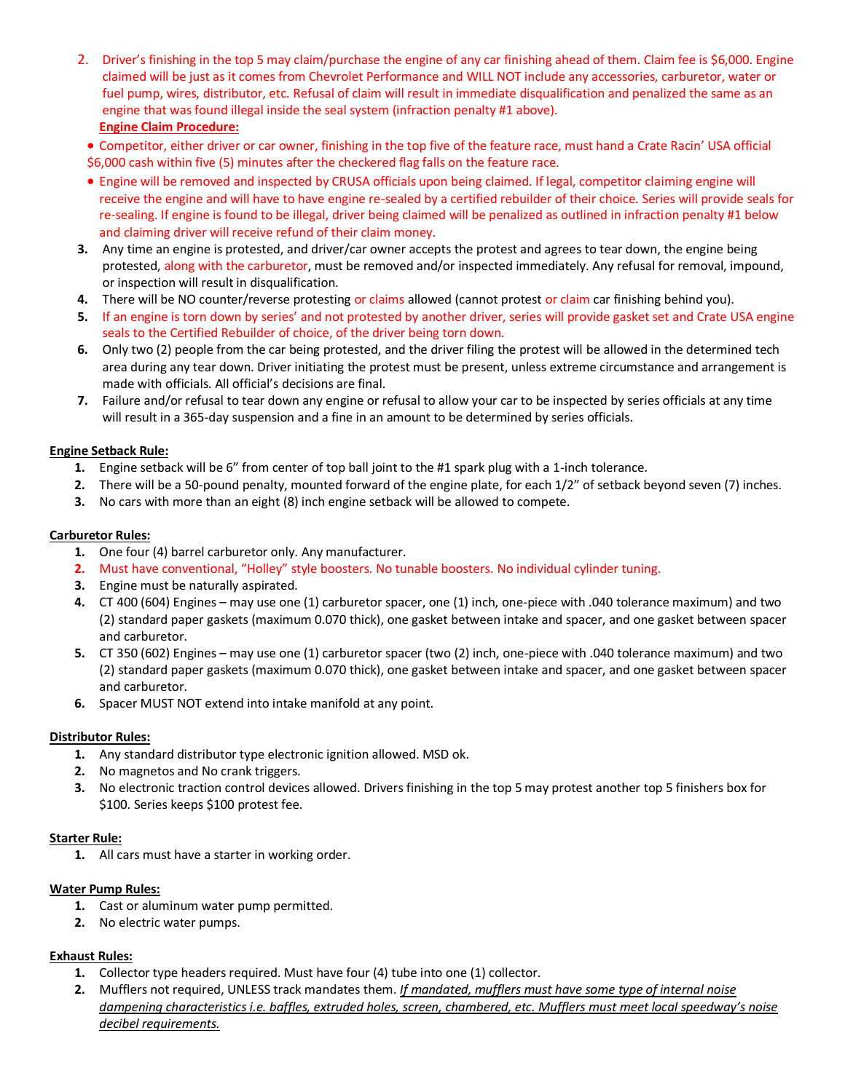2. Driver's finishing in the top 5 may claim/purchase the engine of any car finishing ahead of them. Claim fee is \$6,000. Engine claimed will be just as it comes from Chevrolet Performance and WILL NOT include any accessories, carburetor, water or fuel pump, wires, distributor, etc. Refusal of claim will result in immediate disqualification and penalized the same as an engine that was found illegal inside the seal system (infraction penalty #1 above). **Engine Claim Procedure:**

• Competitor, either driver or car owner, finishing in the top five of the feature race, must hand a Crate Racin' USA official \$6,000 cash within five (5) minutes after the checkered flag falls on the feature race.

- Engine will be removed and inspected by CRUSA officials upon being claimed. If legal, competitor claiming engine will receive the engine and will have to have engine re-sealed by a certified rebuilder of their choice. Series will provide seals for re-sealing. If engine is found to be illegal, driver being claimed will be penalized as outlined in infraction penalty #1 below and claiming driver will receive refund of their claim money.
- **3.** Any time an engine is protested, and driver/car owner accepts the protest and agrees to tear down, the engine being protested, along with the carburetor, must be removed and/or inspected immediately. Any refusal for removal, impound, or inspection will result in disqualification.
- **4.** There will be NO counter/reverse protesting or claims allowed (cannot protest or claim car finishing behind you).
- **5.** If an engine is torn down by series' and not protested by another driver, series will provide gasket set and Crate USA engine seals to the Certified Rebuilder of choice, of the driver being torn down.
- **6.** Only two (2) people from the car being protested, and the driver filing the protest will be allowed in the determined tech area during any tear down. Driver initiating the protest must be present, unless extreme circumstance and arrangement is made with officials. All official's decisions are final.
- **7.** Failure and/or refusal to tear down any engine or refusal to allow your car to be inspected by series officials at any time will result in a 365-day suspension and a fine in an amount to be determined by series officials.

#### **Engine Setback Rule:**

- **1.** Engine setback will be 6" from center of top ball joint to the #1 spark plug with a 1-inch tolerance.
- **2.** There will be a 50-pound penalty, mounted forward of the engine plate, for each 1/2" of setback beyond seven (7) inches.
- **3.** No cars with more than an eight (8) inch engine setback will be allowed to compete.

#### **Carburetor Rules:**

- **1.** One four (4) barrel carburetor only. Any manufacturer.
- **2.** Must have conventional, "Holley" style boosters. No tunable boosters. No individual cylinder tuning.
- **3.** Engine must be naturally aspirated.
- **4.** CT 400 (604) Engines may use one (1) carburetor spacer, one (1) inch, one-piece with .040 tolerance maximum) and two (2) standard paper gaskets (maximum 0.070 thick), one gasket between intake and spacer, and one gasket between spacer and carburetor.
- **5.** CT 350 (602) Engines may use one (1) carburetor spacer (two (2) inch, one-piece with .040 tolerance maximum) and two (2) standard paper gaskets (maximum 0.070 thick), one gasket between intake and spacer, and one gasket between spacer and carburetor.
- **6.** Spacer MUST NOT extend into intake manifold at any point.

#### **Distributor Rules:**

- **1.** Any standard distributor type electronic ignition allowed. MSD ok.
- **2.** No magnetos and No crank triggers.
- **3.** No electronic traction control devices allowed. Drivers finishing in the top 5 may protest another top 5 finishers box for \$100. Series keeps \$100 protest fee.

#### **Starter Rule:**

**1.** All cars must have a starter in working order.

#### **Water Pump Rules:**

- **1.** Cast or aluminum water pump permitted.
- **2.** No electric water pumps.

## **Exhaust Rules:**

- **1.** Collector type headers required. Must have four (4) tube into one (1) collector.
- **2.** Mufflers not required, UNLESS track mandates them. *If mandated, mufflers must have some type of internal noise dampening characteristics i.e. baffles, extruded holes, screen, chambered, etc. Mufflers must meet local speedway's noise decibel requirements.*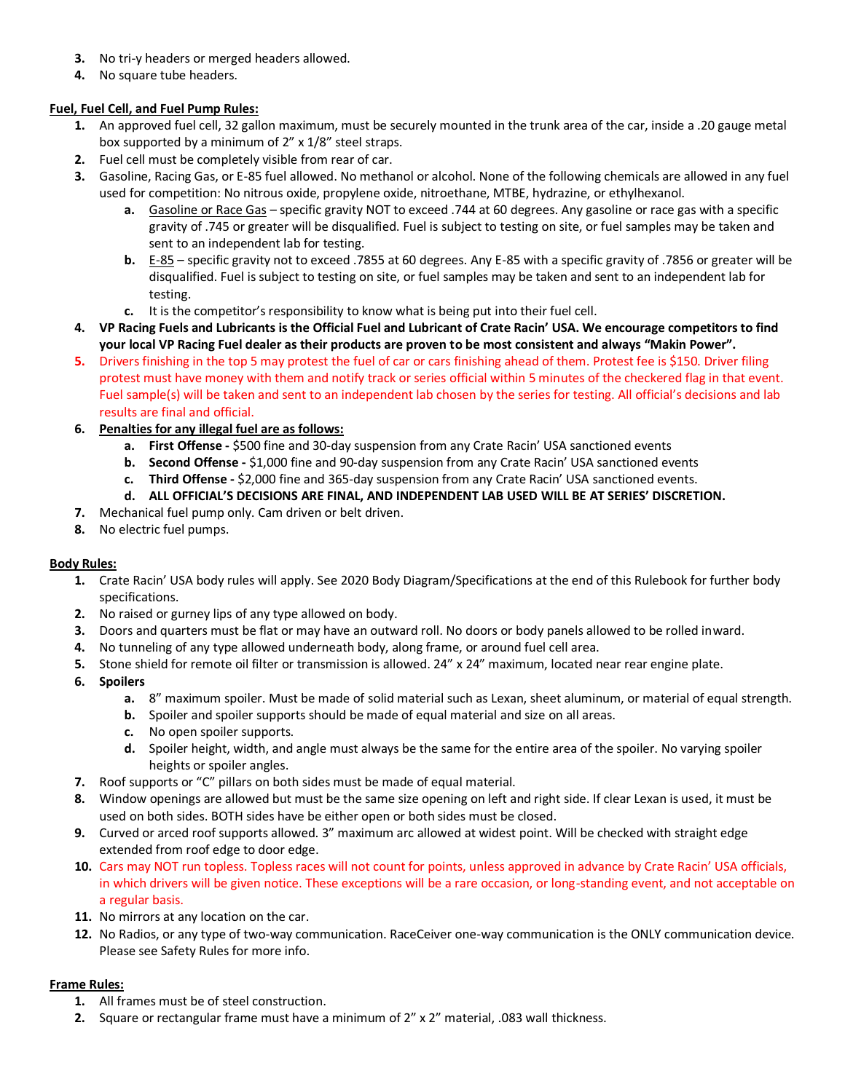- **3.** No tri-y headers or merged headers allowed.
- **4.** No square tube headers.

#### **Fuel, Fuel Cell, and Fuel Pump Rules:**

- **1.** An approved fuel cell, 32 gallon maximum, must be securely mounted in the trunk area of the car, inside a .20 gauge metal box supported by a minimum of 2" x 1/8" steel straps.
- **2.** Fuel cell must be completely visible from rear of car.
- **3.** Gasoline, Racing Gas, or E-85 fuel allowed. No methanol or alcohol. None of the following chemicals are allowed in any fuel used for competition: No nitrous oxide, propylene oxide, nitroethane, MTBE, hydrazine, or ethylhexanol.
	- **a.** Gasoline or Race Gas specific gravity NOT to exceed .744 at 60 degrees. Any gasoline or race gas with a specific gravity of .745 or greater will be disqualified. Fuel is subject to testing on site, or fuel samples may be taken and sent to an independent lab for testing.
	- **b.** E-85 specific gravity not to exceed .7855 at 60 degrees. Any E-85 with a specific gravity of .7856 or greater will be disqualified. Fuel is subject to testing on site, or fuel samples may be taken and sent to an independent lab for testing.
	- **c.** It is the competitor's responsibility to know what is being put into their fuel cell.
- **4. VP Racing Fuels and Lubricants is the Official Fuel and Lubricant of Crate Racin' USA. We encourage competitors to find your local VP Racing Fuel dealer as their products are proven to be most consistent and always "Makin Power".**
- **5.** Drivers finishing in the top 5 may protest the fuel of car or cars finishing ahead of them. Protest fee is \$150. Driver filing protest must have money with them and notify track or series official within 5 minutes of the checkered flag in that event. Fuel sample(s) will be taken and sent to an independent lab chosen by the series for testing. All official's decisions and lab results are final and official.
- **6. Penalties for any illegal fuel are as follows:**
	- **a. First Offense -** \$500 fine and 30-day suspension from any Crate Racin' USA sanctioned events
	- **b. Second Offense -** \$1,000 fine and 90-day suspension from any Crate Racin' USA sanctioned events
	- **c. Third Offense -** \$2,000 fine and 365-day suspension from any Crate Racin' USA sanctioned events.
	- **d. ALL OFFICIAL'S DECISIONS ARE FINAL, AND INDEPENDENT LAB USED WILL BE AT SERIES' DISCRETION.**
- **7.** Mechanical fuel pump only. Cam driven or belt driven.
- **8.** No electric fuel pumps.

#### **Body Rules:**

- **1.** Crate Racin' USA body rules will apply. See 2020 Body Diagram/Specifications at the end of this Rulebook for further body specifications.
- **2.** No raised or gurney lips of any type allowed on body.
- **3.** Doors and quarters must be flat or may have an outward roll. No doors or body panels allowed to be rolled inward.
- **4.** No tunneling of any type allowed underneath body, along frame, or around fuel cell area.
- **5.** Stone shield for remote oil filter or transmission is allowed. 24" x 24" maximum, located near rear engine plate.
- **6. Spoilers**
	- **a.** 8" maximum spoiler. Must be made of solid material such as Lexan, sheet aluminum, or material of equal strength.
	- **b.** Spoiler and spoiler supports should be made of equal material and size on all areas.
	- **c.** No open spoiler supports.
	- **d.** Spoiler height, width, and angle must always be the same for the entire area of the spoiler. No varying spoiler heights or spoiler angles.
- **7.** Roof supports or "C" pillars on both sides must be made of equal material.
- **8.** Window openings are allowed but must be the same size opening on left and right side. If clear Lexan is used, it must be used on both sides. BOTH sides have be either open or both sides must be closed.
- **9.** Curved or arced roof supports allowed. 3" maximum arc allowed at widest point. Will be checked with straight edge extended from roof edge to door edge.
- **10.** Cars may NOT run topless. Topless races will not count for points, unless approved in advance by Crate Racin' USA officials, in which drivers will be given notice. These exceptions will be a rare occasion, or long-standing event, and not acceptable on a regular basis.
- **11.** No mirrors at any location on the car.
- **12.** No Radios, or any type of two-way communication. RaceCeiver one-way communication is the ONLY communication device. Please see Safety Rules for more info.

#### **Frame Rules:**

- **1.** All frames must be of steel construction.
- **2.** Square or rectangular frame must have a minimum of 2" x 2" material, .083 wall thickness.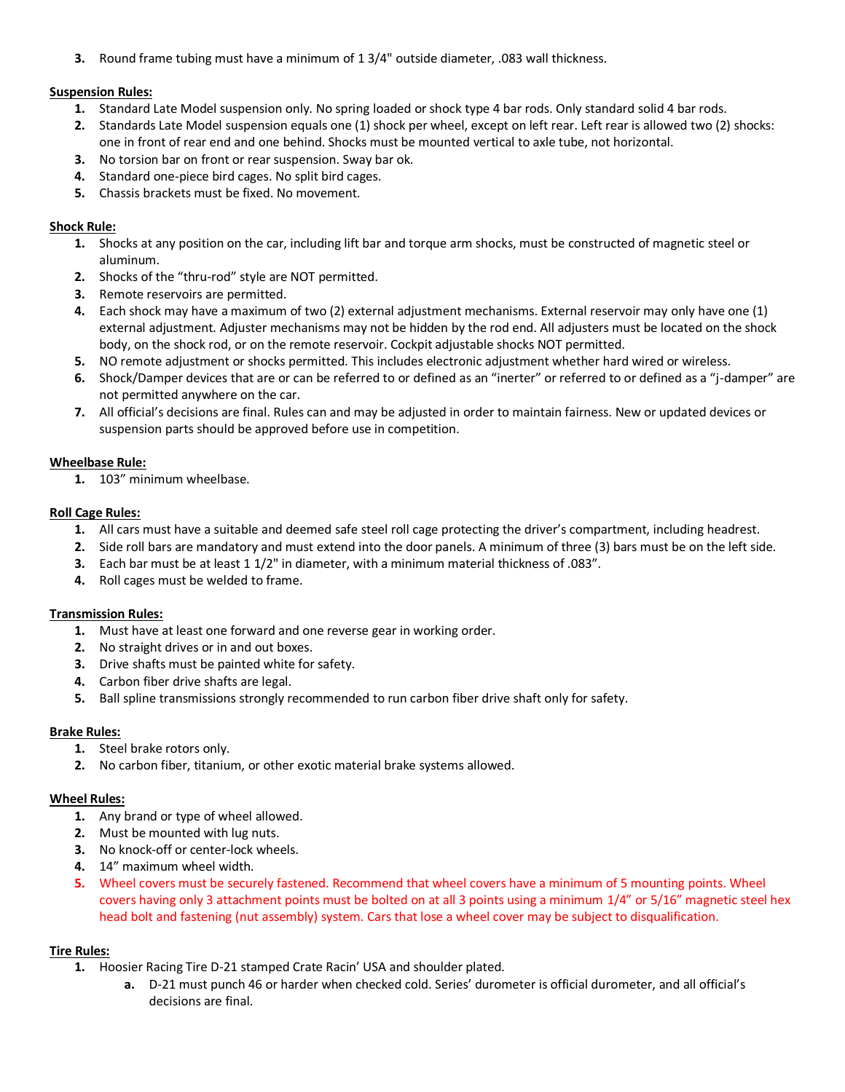**3.** Round frame tubing must have a minimum of 1 3/4" outside diameter, .083 wall thickness.

#### **Suspension Rules:**

- **1.** Standard Late Model suspension only. No spring loaded or shock type 4 bar rods. Only standard solid 4 bar rods.
- **2.** Standards Late Model suspension equals one (1) shock per wheel, except on left rear. Left rear is allowed two (2) shocks: one in front of rear end and one behind. Shocks must be mounted vertical to axle tube, not horizontal.
- **3.** No torsion bar on front or rear suspension. Sway bar ok.
- **4.** Standard one-piece bird cages. No split bird cages.
- **5.** Chassis brackets must be fixed. No movement.

#### **Shock Rule:**

- **1.** Shocks at any position on the car, including lift bar and torque arm shocks, must be constructed of magnetic steel or aluminum.
- **2.** Shocks of the "thru-rod" style are NOT permitted.
- **3.** Remote reservoirs are permitted.
- **4.** Each shock may have a maximum of two (2) external adjustment mechanisms. External reservoir may only have one (1) external adjustment. Adjuster mechanisms may not be hidden by the rod end. All adjusters must be located on the shock body, on the shock rod, or on the remote reservoir. Cockpit adjustable shocks NOT permitted.
- **5.** NO remote adjustment or shocks permitted. This includes electronic adjustment whether hard wired or wireless.
- **6.** Shock/Damper devices that are or can be referred to or defined as an "inerter" or referred to or defined as a "j-damper" are not permitted anywhere on the car.
- **7.** All official's decisions are final. Rules can and may be adjusted in order to maintain fairness. New or updated devices or suspension parts should be approved before use in competition.

## **Wheelbase Rule:**

**1.** 103" minimum wheelbase.

## **Roll Cage Rules:**

- **1.** All cars must have a suitable and deemed safe steel roll cage protecting the driver's compartment, including headrest.
- **2.** Side roll bars are mandatory and must extend into the door panels. A minimum of three (3) bars must be on the left side.
- **3.** Each bar must be at least 1 1/2" in diameter, with a minimum material thickness of .083".
- **4.** Roll cages must be welded to frame.

## **Transmission Rules:**

- **1.** Must have at least one forward and one reverse gear in working order.
- **2.** No straight drives or in and out boxes.
- **3.** Drive shafts must be painted white for safety.
- **4.** Carbon fiber drive shafts are legal.
- **5.** Ball spline transmissions strongly recommended to run carbon fiber drive shaft only for safety.

## **Brake Rules:**

- **1.** Steel brake rotors only.
- **2.** No carbon fiber, titanium, or other exotic material brake systems allowed.

#### **Wheel Rules:**

- **1.** Any brand or type of wheel allowed.
- **2.** Must be mounted with lug nuts.
- **3.** No knock-off or center-lock wheels.
- **4.** 14" maximum wheel width.
- **5.** Wheel covers must be securely fastened. Recommend that wheel covers have a minimum of 5 mounting points. Wheel covers having only 3 attachment points must be bolted on at all 3 points using a minimum 1/4" or 5/16" magnetic steel hex head bolt and fastening (nut assembly) system. Cars that lose a wheel cover may be subject to disqualification.

## **Tire Rules:**

- **1.** Hoosier Racing Tire D-21 stamped Crate Racin' USA and shoulder plated.
	- **a.** D-21 must punch 46 or harder when checked cold. Series' durometer is official durometer, and all official's decisions are final.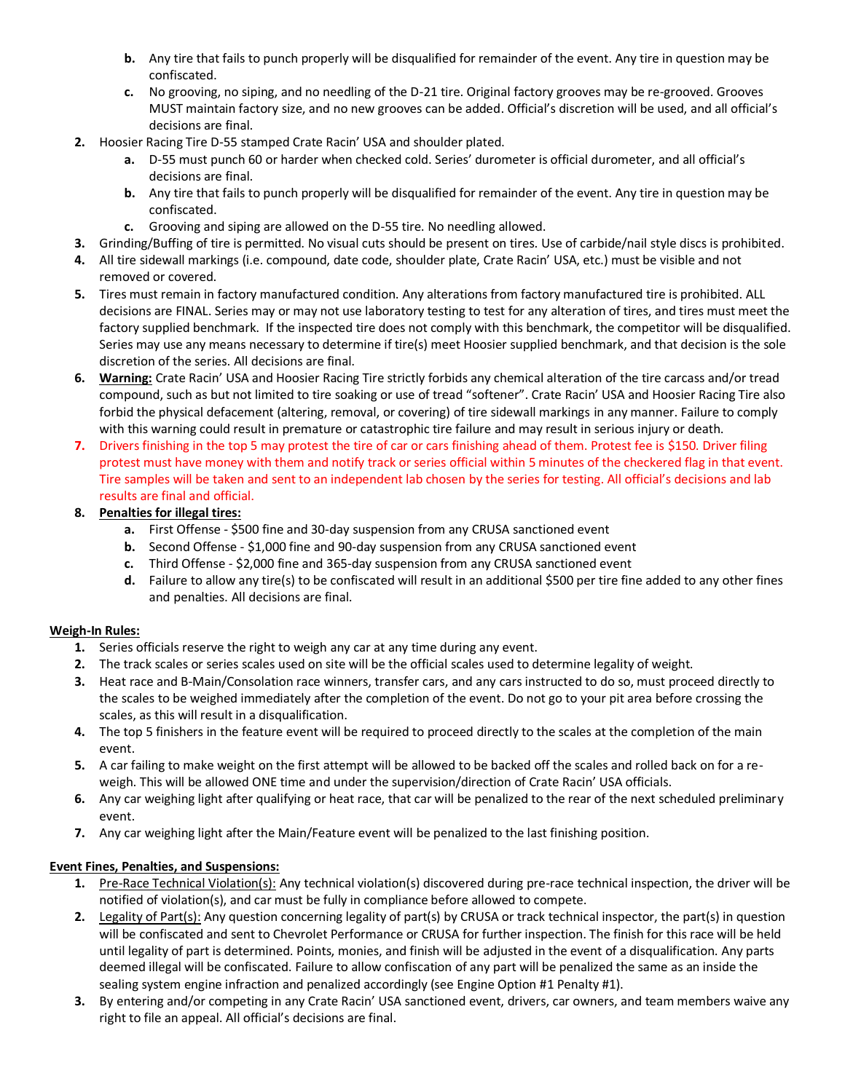- **b.** Any tire that fails to punch properly will be disqualified for remainder of the event. Any tire in question may be confiscated.
- **c.** No grooving, no siping, and no needling of the D-21 tire. Original factory grooves may be re-grooved. Grooves MUST maintain factory size, and no new grooves can be added. Official's discretion will be used, and all official's decisions are final.
- **2.** Hoosier Racing Tire D-55 stamped Crate Racin' USA and shoulder plated.
	- **a.** D-55 must punch 60 or harder when checked cold. Series' durometer is official durometer, and all official's decisions are final.
	- **b.** Any tire that fails to punch properly will be disqualified for remainder of the event. Any tire in question may be confiscated.
	- **c.** Grooving and siping are allowed on the D-55 tire. No needling allowed.
- **3.** Grinding/Buffing of tire is permitted. No visual cuts should be present on tires. Use of carbide/nail style discs is prohibited.
- **4.** All tire sidewall markings (i.e. compound, date code, shoulder plate, Crate Racin' USA, etc.) must be visible and not removed or covered.
- **5.** Tires must remain in factory manufactured condition. Any alterations from factory manufactured tire is prohibited. ALL decisions are FINAL. Series may or may not use laboratory testing to test for any alteration of tires, and tires must meet the factory supplied benchmark. If the inspected tire does not comply with this benchmark, the competitor will be disqualified. Series may use any means necessary to determine if tire(s) meet Hoosier supplied benchmark, and that decision is the sole discretion of the series. All decisions are final.
- **6. Warning:** Crate Racin' USA and Hoosier Racing Tire strictly forbids any chemical alteration of the tire carcass and/or tread compound, such as but not limited to tire soaking or use of tread "softener". Crate Racin' USA and Hoosier Racing Tire also forbid the physical defacement (altering, removal, or covering) of tire sidewall markings in any manner. Failure to comply with this warning could result in premature or catastrophic tire failure and may result in serious injury or death.
- **7.** Drivers finishing in the top 5 may protest the tire of car or cars finishing ahead of them. Protest fee is \$150. Driver filing protest must have money with them and notify track or series official within 5 minutes of the checkered flag in that event. Tire samples will be taken and sent to an independent lab chosen by the series for testing. All official's decisions and lab results are final and official.
- **8. Penalties for illegal tires:**
	- **a.** First Offense \$500 fine and 30-day suspension from any CRUSA sanctioned event
	- **b.** Second Offense \$1,000 fine and 90-day suspension from any CRUSA sanctioned event
	- **c.** Third Offense \$2,000 fine and 365-day suspension from any CRUSA sanctioned event
	- **d.** Failure to allow any tire(s) to be confiscated will result in an additional \$500 per tire fine added to any other fines and penalties. All decisions are final.

## **Weigh-In Rules:**

- **1.** Series officials reserve the right to weigh any car at any time during any event.
- **2.** The track scales or series scales used on site will be the official scales used to determine legality of weight.
- **3.** Heat race and B-Main/Consolation race winners, transfer cars, and any cars instructed to do so, must proceed directly to the scales to be weighed immediately after the completion of the event. Do not go to your pit area before crossing the scales, as this will result in a disqualification.
- **4.** The top 5 finishers in the feature event will be required to proceed directly to the scales at the completion of the main event.
- **5.** A car failing to make weight on the first attempt will be allowed to be backed off the scales and rolled back on for a reweigh. This will be allowed ONE time and under the supervision/direction of Crate Racin' USA officials.
- **6.** Any car weighing light after qualifying or heat race, that car will be penalized to the rear of the next scheduled preliminary event.
- **7.** Any car weighing light after the Main/Feature event will be penalized to the last finishing position.

## **Event Fines, Penalties, and Suspensions:**

- **1.** Pre-Race Technical Violation(s): Any technical violation(s) discovered during pre-race technical inspection, the driver will be notified of violation(s), and car must be fully in compliance before allowed to compete.
- **2.** Legality of Part(s): Any question concerning legality of part(s) by CRUSA or track technical inspector, the part(s) in question will be confiscated and sent to Chevrolet Performance or CRUSA for further inspection. The finish for this race will be held until legality of part is determined. Points, monies, and finish will be adjusted in the event of a disqualification. Any parts deemed illegal will be confiscated. Failure to allow confiscation of any part will be penalized the same as an inside the sealing system engine infraction and penalized accordingly (see Engine Option #1 Penalty #1).
- **3.** By entering and/or competing in any Crate Racin' USA sanctioned event, drivers, car owners, and team members waive any right to file an appeal. All official's decisions are final.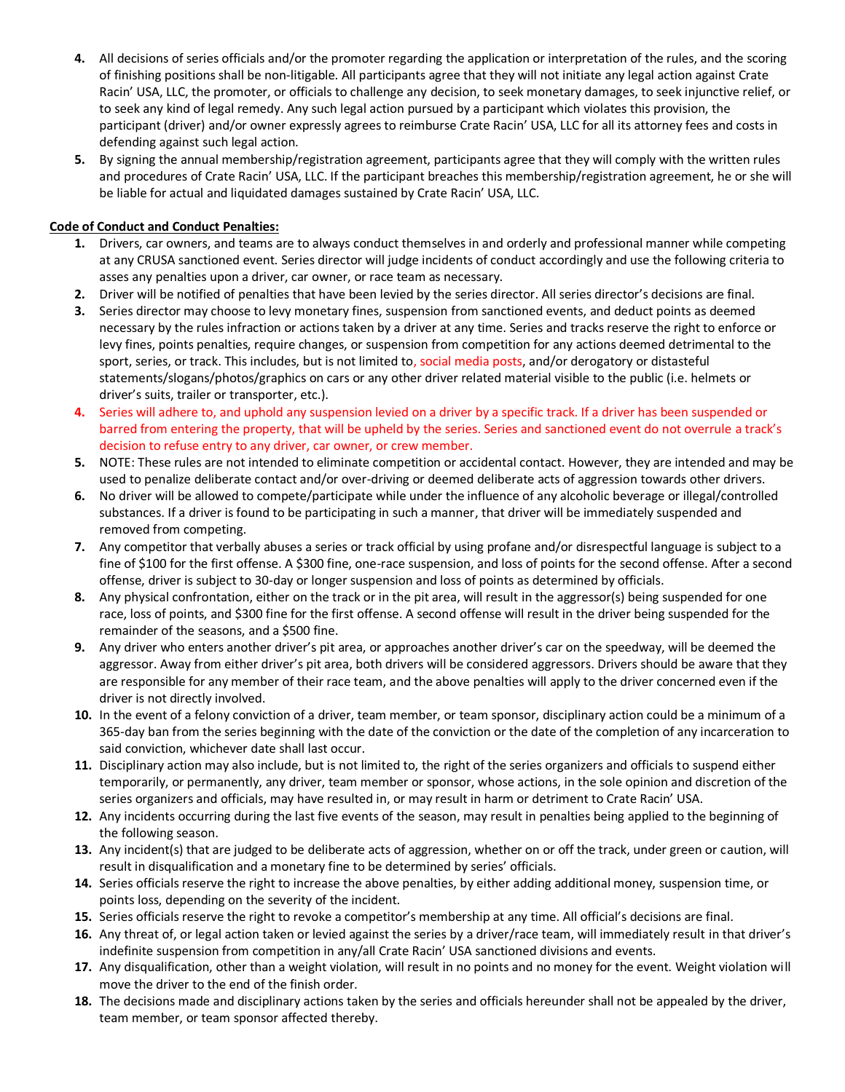- **4.** All decisions of series officials and/or the promoter regarding the application or interpretation of the rules, and the scoring of finishing positions shall be non-litigable. All participants agree that they will not initiate any legal action against Crate Racin' USA, LLC, the promoter, or officials to challenge any decision, to seek monetary damages, to seek injunctive relief, or to seek any kind of legal remedy. Any such legal action pursued by a participant which violates this provision, the participant (driver) and/or owner expressly agrees to reimburse Crate Racin' USA, LLC for all its attorney fees and costs in defending against such legal action.
- **5.** By signing the annual membership/registration agreement, participants agree that they will comply with the written rules and procedures of Crate Racin' USA, LLC. If the participant breaches this membership/registration agreement, he or she will be liable for actual and liquidated damages sustained by Crate Racin' USA, LLC.

## **Code of Conduct and Conduct Penalties:**

- **1.** Drivers, car owners, and teams are to always conduct themselves in and orderly and professional manner while competing at any CRUSA sanctioned event. Series director will judge incidents of conduct accordingly and use the following criteria to asses any penalties upon a driver, car owner, or race team as necessary.
- **2.** Driver will be notified of penalties that have been levied by the series director. All series director's decisions are final.
- **3.** Series director may choose to levy monetary fines, suspension from sanctioned events, and deduct points as deemed necessary by the rules infraction or actions taken by a driver at any time. Series and tracks reserve the right to enforce or levy fines, points penalties, require changes, or suspension from competition for any actions deemed detrimental to the sport, series, or track. This includes, but is not limited to, social media posts, and/or derogatory or distasteful statements/slogans/photos/graphics on cars or any other driver related material visible to the public (i.e. helmets or driver's suits, trailer or transporter, etc.).
- **4.** Series will adhere to, and uphold any suspension levied on a driver by a specific track. If a driver has been suspended or barred from entering the property, that will be upheld by the series. Series and sanctioned event do not overrule a track's decision to refuse entry to any driver, car owner, or crew member.
- **5.** NOTE: These rules are not intended to eliminate competition or accidental contact. However, they are intended and may be used to penalize deliberate contact and/or over-driving or deemed deliberate acts of aggression towards other drivers.
- **6.** No driver will be allowed to compete/participate while under the influence of any alcoholic beverage or illegal/controlled substances. If a driver is found to be participating in such a manner, that driver will be immediately suspended and removed from competing.
- **7.** Any competitor that verbally abuses a series or track official by using profane and/or disrespectful language is subject to a fine of \$100 for the first offense. A \$300 fine, one-race suspension, and loss of points for the second offense. After a second offense, driver is subject to 30-day or longer suspension and loss of points as determined by officials.
- **8.** Any physical confrontation, either on the track or in the pit area, will result in the aggressor(s) being suspended for one race, loss of points, and \$300 fine for the first offense. A second offense will result in the driver being suspended for the remainder of the seasons, and a \$500 fine.
- **9.** Any driver who enters another driver's pit area, or approaches another driver's car on the speedway, will be deemed the aggressor. Away from either driver's pit area, both drivers will be considered aggressors. Drivers should be aware that they are responsible for any member of their race team, and the above penalties will apply to the driver concerned even if the driver is not directly involved.
- **10.** In the event of a felony conviction of a driver, team member, or team sponsor, disciplinary action could be a minimum of a 365-day ban from the series beginning with the date of the conviction or the date of the completion of any incarceration to said conviction, whichever date shall last occur.
- **11.** Disciplinary action may also include, but is not limited to, the right of the series organizers and officials to suspend either temporarily, or permanently, any driver, team member or sponsor, whose actions, in the sole opinion and discretion of the series organizers and officials, may have resulted in, or may result in harm or detriment to Crate Racin' USA.
- **12.** Any incidents occurring during the last five events of the season, may result in penalties being applied to the beginning of the following season.
- **13.** Any incident(s) that are judged to be deliberate acts of aggression, whether on or off the track, under green or caution, will result in disqualification and a monetary fine to be determined by series' officials.
- **14.** Series officials reserve the right to increase the above penalties, by either adding additional money, suspension time, or points loss, depending on the severity of the incident.
- **15.** Series officials reserve the right to revoke a competitor's membership at any time. All official's decisions are final.
- **16.** Any threat of, or legal action taken or levied against the series by a driver/race team, will immediately result in that driver's indefinite suspension from competition in any/all Crate Racin' USA sanctioned divisions and events.
- **17.** Any disqualification, other than a weight violation, will result in no points and no money for the event. Weight violation will move the driver to the end of the finish order.
- **18.** The decisions made and disciplinary actions taken by the series and officials hereunder shall not be appealed by the driver, team member, or team sponsor affected thereby.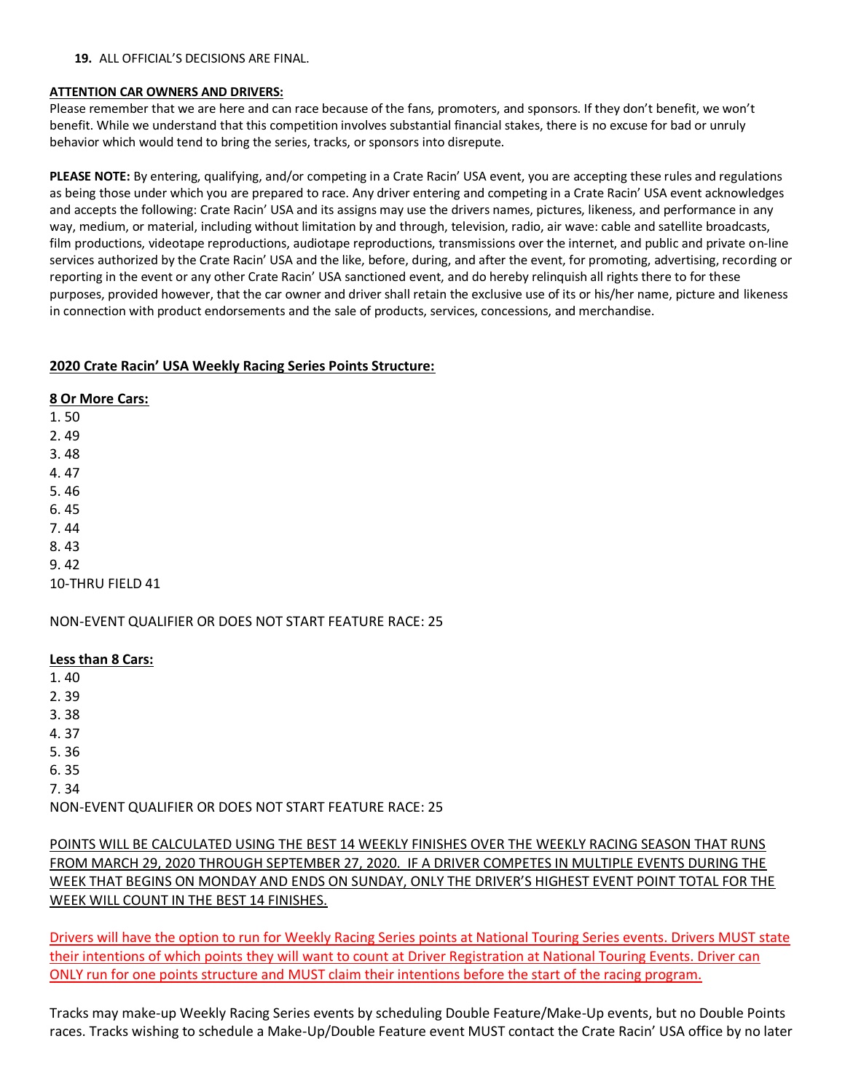#### **19.** ALL OFFICIAL'S DECISIONS ARE FINAL.

## **ATTENTION CAR OWNERS AND DRIVERS:**

Please remember that we are here and can race because of the fans, promoters, and sponsors. If they don't benefit, we won't benefit. While we understand that this competition involves substantial financial stakes, there is no excuse for bad or unruly behavior which would tend to bring the series, tracks, or sponsors into disrepute.

**PLEASE NOTE:** By entering, qualifying, and/or competing in a Crate Racin' USA event, you are accepting these rules and regulations as being those under which you are prepared to race. Any driver entering and competing in a Crate Racin' USA event acknowledges and accepts the following: Crate Racin' USA and its assigns may use the drivers names, pictures, likeness, and performance in any way, medium, or material, including without limitation by and through, television, radio, air wave: cable and satellite broadcasts, film productions, videotape reproductions, audiotape reproductions, transmissions over the internet, and public and private on-line services authorized by the Crate Racin' USA and the like, before, during, and after the event, for promoting, advertising, recording or reporting in the event or any other Crate Racin' USA sanctioned event, and do hereby relinquish all rights there to for these purposes, provided however, that the car owner and driver shall retain the exclusive use of its or his/her name, picture and likeness in connection with product endorsements and the sale of products, services, concessions, and merchandise.

# **2020 Crate Racin' USA Weekly Racing Series Points Structure:**

**8 Or More Cars:**

1. 50 2. 49 3. 48 4. 47 5. 46 6. 45 7. 44 8. 43 9. 42

10-THRU FIELD 41

NON-EVENT QUALIFIER OR DOES NOT START FEATURE RACE: 25

## **Less than 8 Cars:**

1. 40

- 2. 39
- 3. 38
- 4. 37
- 5. 36
- 6. 35
- 7. 34

NON-EVENT QUALIFIER OR DOES NOT START FEATURE RACE: 25

POINTS WILL BE CALCULATED USING THE BEST 14 WEEKLY FINISHES OVER THE WEEKLY RACING SEASON THAT RUNS FROM MARCH 29, 2020 THROUGH SEPTEMBER 27, 2020. IF A DRIVER COMPETES IN MULTIPLE EVENTS DURING THE WEEK THAT BEGINS ON MONDAY AND ENDS ON SUNDAY, ONLY THE DRIVER'S HIGHEST EVENT POINT TOTAL FOR THE WEEK WILL COUNT IN THE BEST 14 FINISHES.

Drivers will have the option to run for Weekly Racing Series points at National Touring Series events. Drivers MUST state their intentions of which points they will want to count at Driver Registration at National Touring Events. Driver can ONLY run for one points structure and MUST claim their intentions before the start of the racing program.

Tracks may make-up Weekly Racing Series events by scheduling Double Feature/Make-Up events, but no Double Points races. Tracks wishing to schedule a Make-Up/Double Feature event MUST contact the Crate Racin' USA office by no later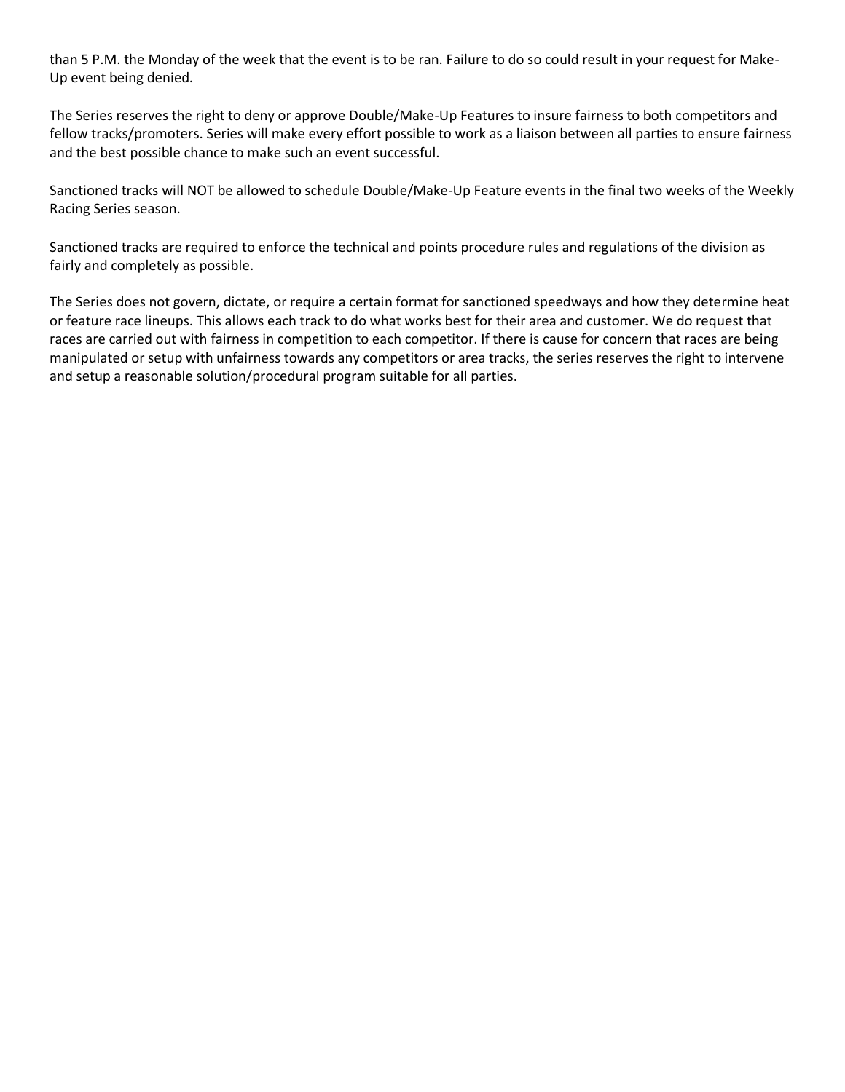than 5 P.M. the Monday of the week that the event is to be ran. Failure to do so could result in your request for Make-Up event being denied.

The Series reserves the right to deny or approve Double/Make-Up Features to insure fairness to both competitors and fellow tracks/promoters. Series will make every effort possible to work as a liaison between all parties to ensure fairness and the best possible chance to make such an event successful.

Sanctioned tracks will NOT be allowed to schedule Double/Make-Up Feature events in the final two weeks of the Weekly Racing Series season.

Sanctioned tracks are required to enforce the technical and points procedure rules and regulations of the division as fairly and completely as possible.

The Series does not govern, dictate, or require a certain format for sanctioned speedways and how they determine heat or feature race lineups. This allows each track to do what works best for their area and customer. We do request that races are carried out with fairness in competition to each competitor. If there is cause for concern that races are being manipulated or setup with unfairness towards any competitors or area tracks, the series reserves the right to intervene and setup a reasonable solution/procedural program suitable for all parties.